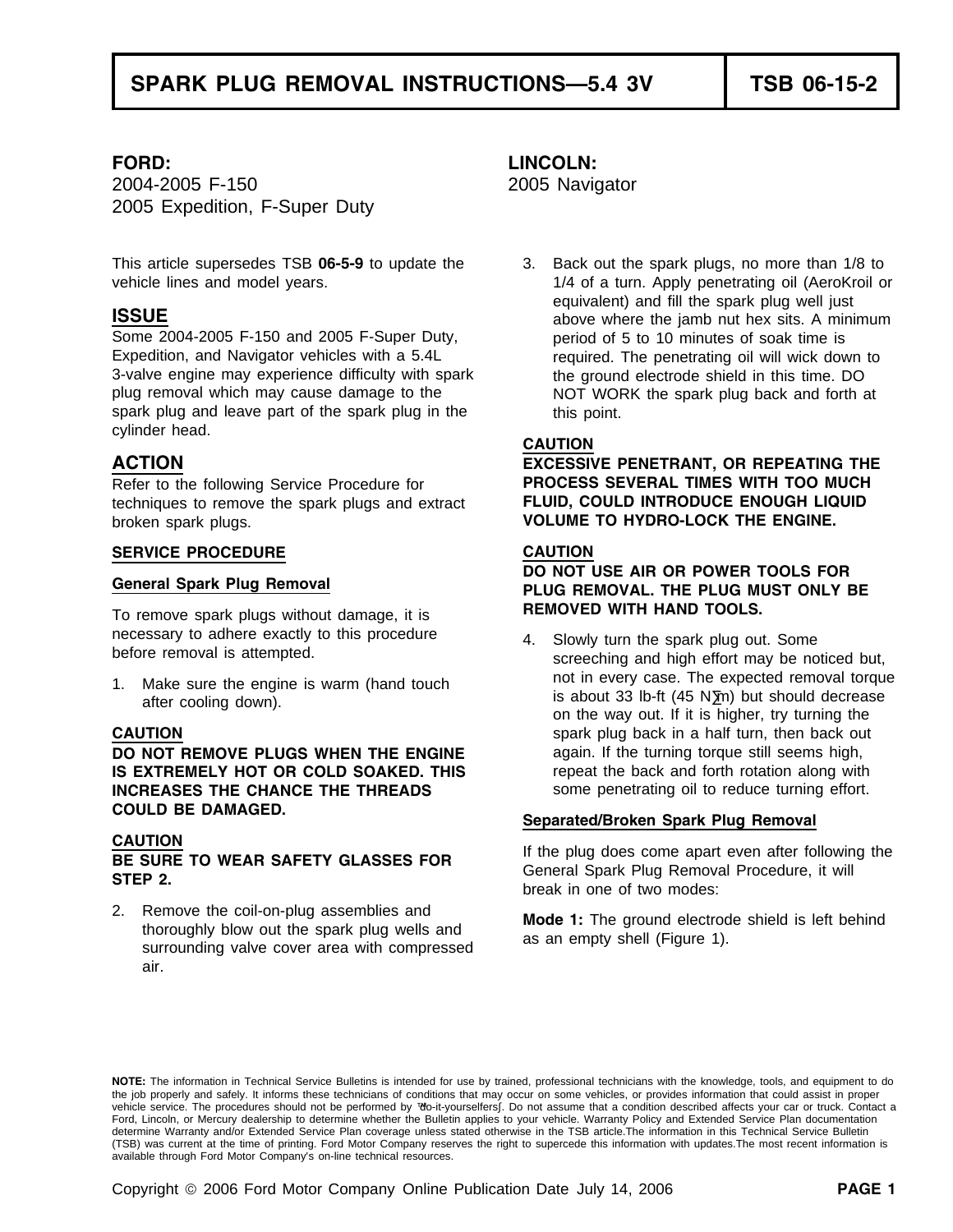2004-2005 F-150 2005 Navigator 2005 Expedition, F-Super Duty

Some 2004-2005 F-150 and 2005 F-Super Duty, period of 5 to 10 minutes of soak time is<br>Expedition, and Navigator vehicles with a 5.4L required. The penetrating oil will wick dow 3-valve engine may experience difficulty with spark the ground electrode shield in this time. DO<br>plug removal which may cause damage to the **NOT WORK** the spark plug back and forth a spark plug and leave part of the spark plug in the this point.<br>cylinder head. cylinder head. **CAUTION**

techniques to remove the spark plugs and extract **FLUID, COULD INTRODUCE ENOUGH LIQUID** broken spark plugs. **VOLUME TO HYDRO-LOCK THE ENGINE.**

### **SERVICE PROCEDURE CAUTION**

**REMOVED WITH HAND TOOLS.** To remove spark plugs without damage, it is

**DO NOT REMOVE PLUGS WHEN THE ENGINE** again. If the turning torque still seems high, **IS EXTREMELY HOT OR COLD SOAKED. THIS** repeat the back and forth rotation along with **INCREASES THE CHANCE THE THREADS** some penetrating oil to reduce turning effort. **COULD BE DAMAGED. Separated/Broken Spark Plug Removal**

2. Remove the coil-on-plug assemblies and **Mode 1:** The ground electrode shield is left behind thoroughly blow out the spark plug wells and as an empty shell (Figure 1).<br>surrounding valve cover area with compressed as an e air.

### **FORD: LINCOLN:**

This article supersedes TSB **06-5-9** to update the 3. Back out the spark plugs, no more than 1/8 to vehicle lines and model years. The same state of a turn. Apply penetrating oil (AeroKroil or equivalent) and fill the spark plug well just **ISSUE** above where the jamb nut hex sits. A minimum required. The penetrating oil will wick down to NOT WORK the spark plug back and forth at

**ACTION EXCESSIVE PENETRANT, OR REPEATING THE** Refer to the following Service Procedure for **PROCESS SEVERAL TIMES WITH TOO MUCH**

# **DO NOT USE AIR OR POWER TOOLS FOR General Spark Plug Removal PLUG REMOVAL. THE PLUG MUST ONLY BE**

necessary to adhere exactly to this procedure 4. Slowly turn the spark plug out. Some<br>before removal is attempted.<br>screeching and high effort may be noticed but, 1. Make sure the engine is warm (hand touch is about 33 lb-ft (45 N•m) but should decrease after cooling down).<br>after cooling down). after cooling down). **CAUTION Spark plug back in a half turn, then back out Spark plug back in a half turn, then back out** 

**CAUTION**<br> **BE SURE TO WEAR SAFETY GLASSES FOR** The plug does come apart even after following the<br> **STEP 2.** break in one of two modes:<br>
break in one of two modes:

**NOTE:** The information in Technical Service Bulletins is intended for use by trained, professional technicians with the knowledge, tools, and equipment to do the job properly and safely. It informs these technicians of conditions that may occur on some vehicles, or provides information that could assist in proper vehicle service. The procedures should not be performed by "do-it-yourselfers". Do not assume that a condition described affects your car or truck. Contact a Ford, Lincoln, or Mercury dealership to determine whether the Bulletin applies to your vehicle. Warranty Policy and Extended Service Plan documentation determine Warranty and/or Extended Service Plan coverage unless stated otherwise in the TSB article.The information in this Technical Service Bulletin (TSB) was current at the time of printing. Ford Motor Company reserves the right to supercede this information with updates.The most recent information is available through Ford Motor Company's on-line technical resources.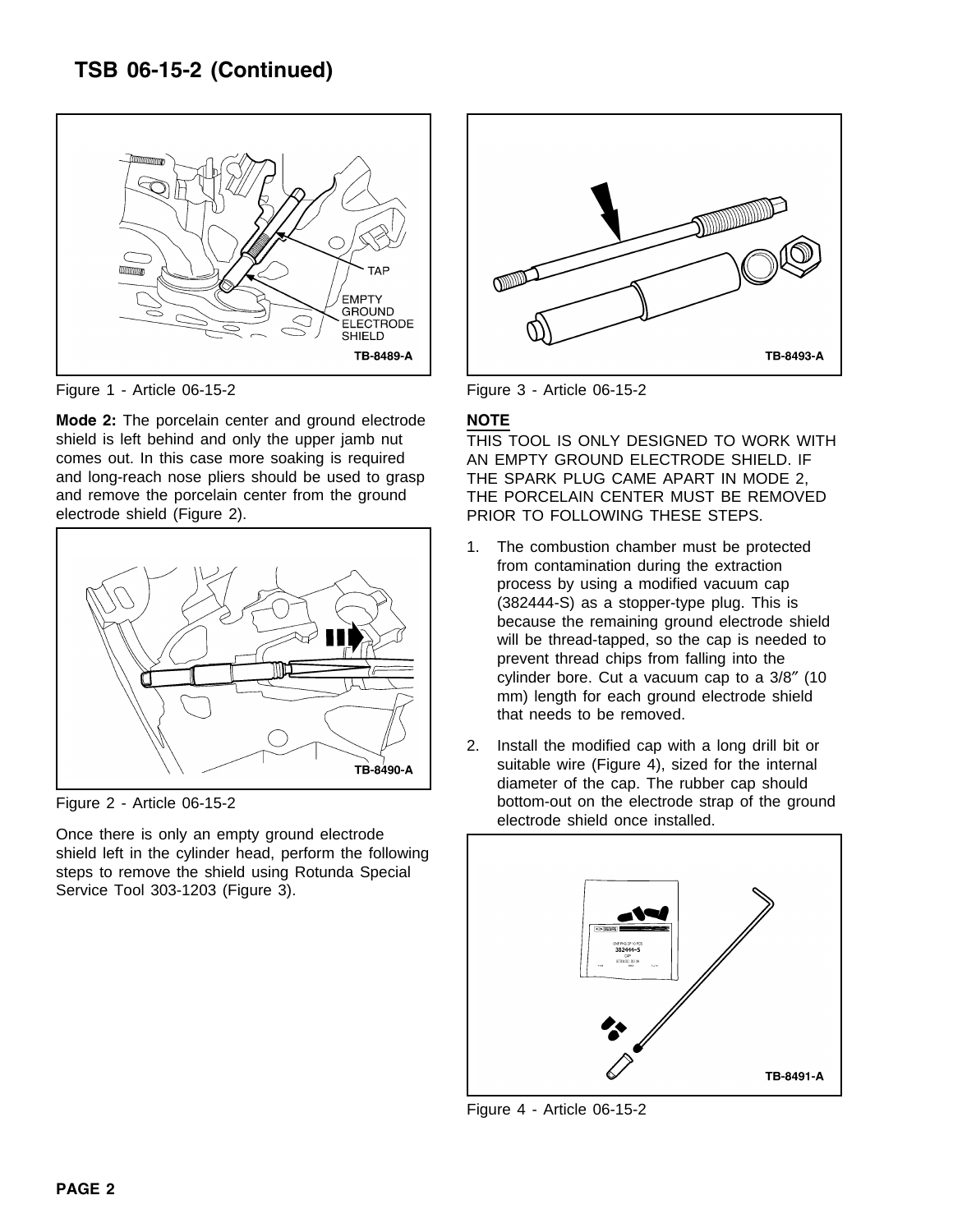

Figure 1 - Article 06-15-2 Figure 3 - Article 06-15-2

**Mode 2:** The porcelain center and ground electrode **NOTE** shield is left behind and only the upper jamb nut THIS TOOL IS ONLY DESIGNED TO WORK WITH comes out. In this case more soaking is required AN EMPTY GROUND ELECTRODE SHIELD. IF and long-reach nose pliers should be used to grasp THE SPARK PLUG CAME APART IN MODE 2, and remove the porcelain center from the ground THE PORCELAIN CENTER MUST BE REMOVED electrode shield (Figure 2). PRIOR TO FOLLOWING THESE STEPS.



Once there is only an empty ground electrode shield left in the cylinder head, perform the following steps to remove the shield using Rotunda Special Service Tool 303-1203 (Figure 3).



- 1. The combustion chamber must be protected from contamination during the extraction process by using a modified vacuum cap (382444-S) as a stopper-type plug. This is because the remaining ground electrode shield will be thread-tapped, so the cap is needed to prevent thread chips from falling into the cylinder bore. Cut a vacuum cap to a 3/8″ (10 mm) length for each ground electrode shield that needs to be removed.
- 2. Install the modified cap with a long drill bit or suitable wire (Figure 4), sized for the internal diameter of the cap. The rubber cap should Figure 2 - Article 06-15-2 bottom-out on the electrode strap of the ground electrode shield once installed.



Figure 4 - Article 06-15-2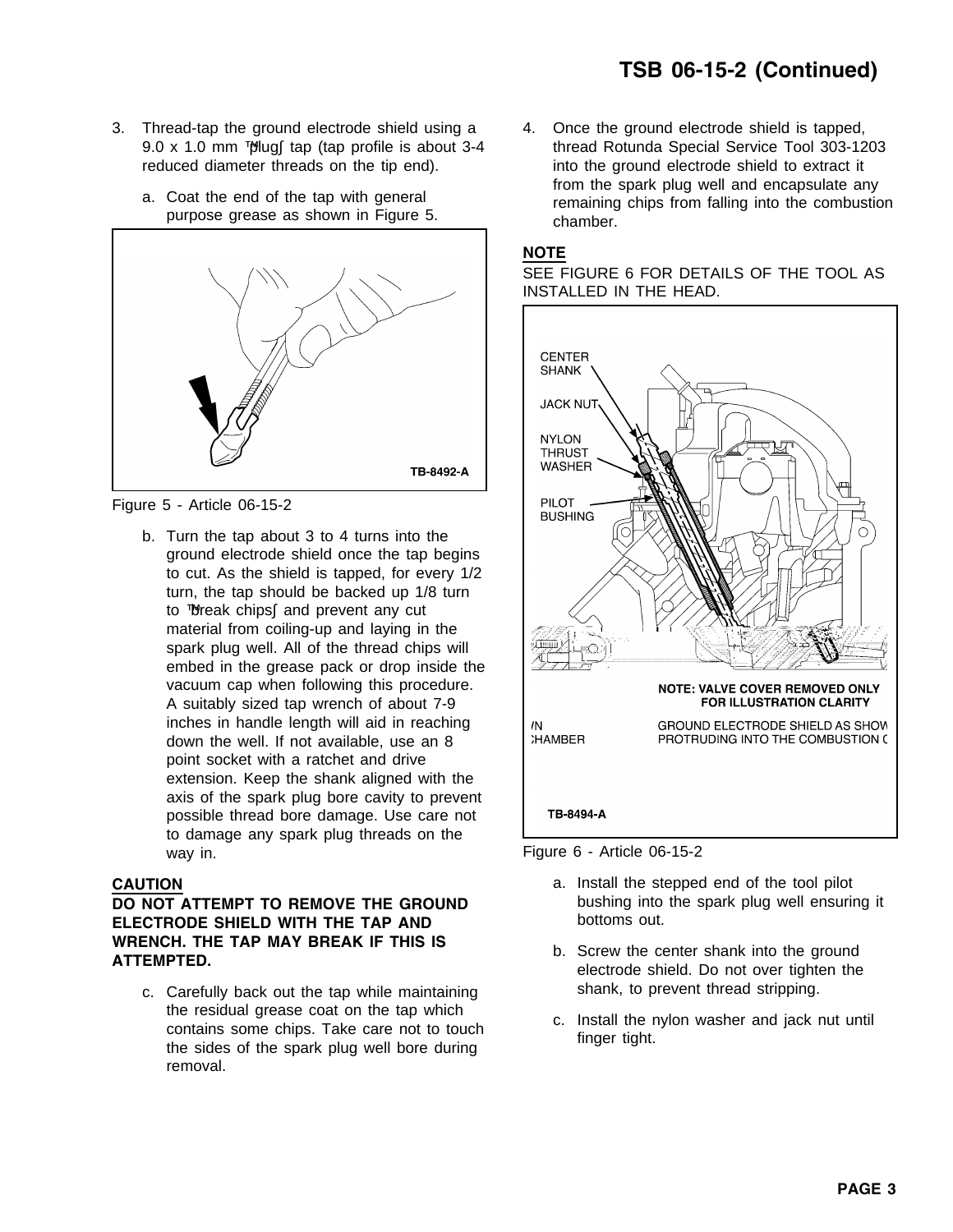- 3. Thread-tap the ground electrode shield using a 4. Once the ground electrode shield is tapped, reduced diameter threads on the tip end). The into the ground electrode shield to extract it
	-



Figure 5 - Article 06-15-2

b. Turn the tap about 3 to 4 turns into the ground electrode shield once the tap begins to cut. As the shield is tapped, for every 1/2 turn, the tap should be backed up 1/8 turn to "break chips" and prevent any cut material from coiling-up and laying in the spark plug well. All of the thread chips will embed in the grease pack or drop inside the vacuum cap when following this procedure. A suitably sized tap wrench of about 7-9 inches in handle length will aid in reaching down the well. If not available, use an 8 point socket with a ratchet and drive extension. Keep the shank aligned with the axis of the spark plug bore cavity to prevent possible thread bore damage. Use care not to damage any spark plug threads on the way in. **Example 2 Example 2 Figure 6 - Article 06-15-2** 

**ELECTRODE SHIELD WITH THE TAP AND bottoms out. WRENCH. THE TAP MAY BREAK IF THIS IS** b. Screw the center shank into the ground **ATTEMPTED.**<br>**ATTEMPTED.** electrode shield. Do not over tighten the

c. Carefully back out the tap while maintaining shank, to prevent thread stripping. the residual grease coat on the tap which<br>contains some chips. Take care not to touch<br>the sides of the spark plug well bore during<br>finger tight. removal.

9.0 x 1.0 mm "plug" tap (tap profile is about 3-4 thread Rotunda Special Service Tool 303-1203 from the spark plug well and encapsulate any a. Coat the end of the tap with general remaining chips from falling into the combustion purpose grease as shown in Figure 5.



SEE FIGURE 6 FOR DETAILS OF THE TOOL AS INSTALLED IN THE HEAD.



- **CAUTION CAUTION a.** Install the stepped end of the tool pilot **DO NOT ATTEMPT TO REMOVE THE GROUND** bushing into the spark plug well ensuring it
	-
	-